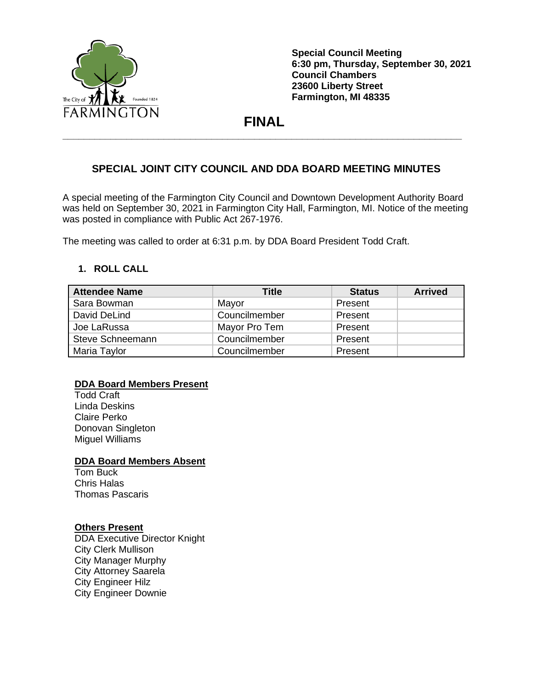

**Special Council Meeting 6:30 pm, Thursday, September 30, 2021 Council Chambers 23600 Liberty Street Farmington, MI 48335**

# **FINAL \_\_\_\_\_\_\_\_\_\_\_\_\_\_\_\_\_\_\_\_\_\_\_\_\_\_\_\_\_\_\_\_\_\_\_\_\_\_\_\_\_\_\_\_\_\_\_\_\_\_\_\_\_\_\_\_\_\_\_\_\_\_\_\_\_\_\_\_\_\_\_\_\_\_\_**

## **SPECIAL JOINT CITY COUNCIL AND DDA BOARD MEETING MINUTES**

A special meeting of the Farmington City Council and Downtown Development Authority Board was held on September 30, 2021 in Farmington City Hall, Farmington, MI. Notice of the meeting was posted in compliance with Public Act 267-1976.

The meeting was called to order at 6:31 p.m. by DDA Board President Todd Craft.

### **1. ROLL CALL**

| <b>Attendee Name</b> | <b>Title</b>  | <b>Status</b> | <b>Arrived</b> |
|----------------------|---------------|---------------|----------------|
| Sara Bowman          | Mayor         | Present       |                |
| David DeLind         | Councilmember | Present       |                |
| Joe LaRussa          | Mayor Pro Tem | Present       |                |
| Steve Schneemann     | Councilmember | Present       |                |
| Maria Taylor         | Councilmember | Present       |                |

### **DDA Board Members Present**

Todd Craft Linda Deskins Claire Perko Donovan Singleton Miguel Williams

### **DDA Board Members Absent**

Tom Buck Chris Halas Thomas Pascaris

#### **Others Present**

DDA Executive Director Knight City Clerk Mullison City Manager Murphy City Attorney Saarela City Engineer Hilz City Engineer Downie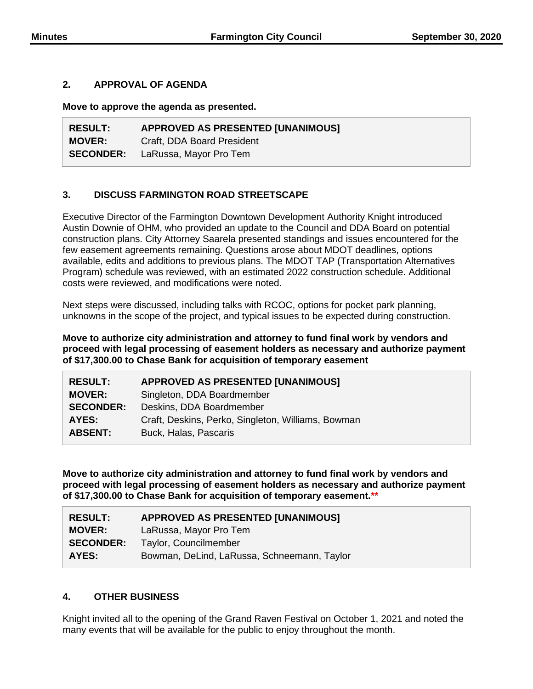#### **2. APPROVAL OF AGENDA**

**Move to approve the agenda as presented.**

**RESULT: APPROVED AS PRESENTED [UNANIMOUS] MOVER:** Craft, DDA Board President **SECONDER:** LaRussa, Mayor Pro Tem

### **3. DISCUSS FARMINGTON ROAD STREETSCAPE**

Executive Director of the Farmington Downtown Development Authority Knight introduced Austin Downie of OHM, who provided an update to the Council and DDA Board on potential construction plans. City Attorney Saarela presented standings and issues encountered for the few easement agreements remaining. Questions arose about MDOT deadlines, options available, edits and additions to previous plans. The MDOT TAP (Transportation Alternatives Program) schedule was reviewed, with an estimated 2022 construction schedule. Additional costs were reviewed, and modifications were noted.

Next steps were discussed, including talks with RCOC, options for pocket park planning, unknowns in the scope of the project, and typical issues to be expected during construction.

**Move to authorize city administration and attorney to fund final work by vendors and proceed with legal processing of easement holders as necessary and authorize payment of \$17,300.00 to Chase Bank for acquisition of temporary easement**

| <b>RESULT:</b>   | <b>APPROVED AS PRESENTED [UNANIMOUS]</b>           |
|------------------|----------------------------------------------------|
| <b>MOVER:</b>    | Singleton, DDA Boardmember                         |
| <b>SECONDER:</b> | Deskins, DDA Boardmember                           |
| AYES:            | Craft, Deskins, Perko, Singleton, Williams, Bowman |
| <b>ABSENT:</b>   | Buck, Halas, Pascaris                              |
|                  |                                                    |

**Move to authorize city administration and attorney to fund final work by vendors and proceed with legal processing of easement holders as necessary and authorize payment of \$17,300.00 to Chase Bank for acquisition of temporary easement.\*\***

| <b>RESULT:</b>   | <b>APPROVED AS PRESENTED [UNANIMOUS]</b>    |  |
|------------------|---------------------------------------------|--|
| <b>MOVER:</b>    | LaRussa, Mayor Pro Tem                      |  |
| <b>SECONDER:</b> | Taylor, Councilmember                       |  |
| AYES:            | Bowman, DeLind, LaRussa, Schneemann, Taylor |  |

### **4. OTHER BUSINESS**

Knight invited all to the opening of the Grand Raven Festival on October 1, 2021 and noted the many events that will be available for the public to enjoy throughout the month.